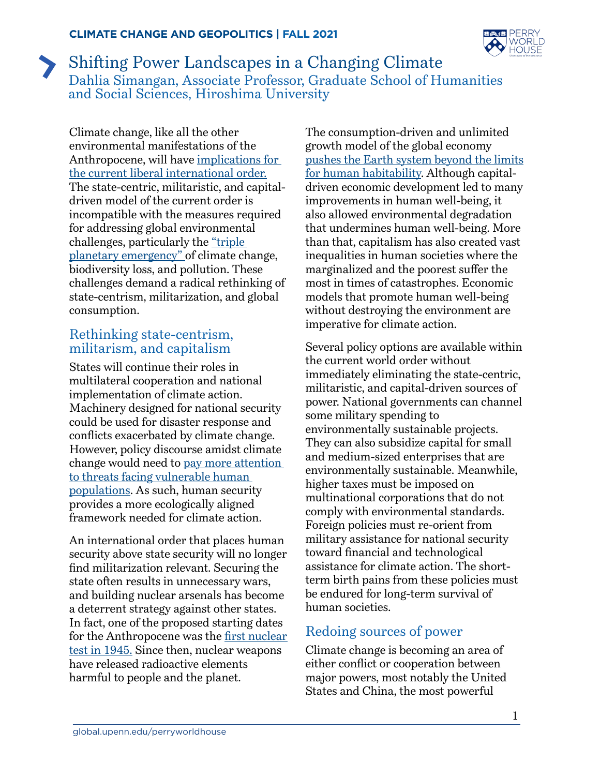

## Shifting Power Landscapes in a Changing Climate Dahlia Simangan, Associate Professor, Graduate School of Humanities and Social Sciences, Hiroshima University

Climate change, like all the other environmental manifestations of the Anthropocene, will have [implications for](https://journals.sagepub.com/doi/full/10.1177/2053019620982327)  [the current liberal international order.](https://journals.sagepub.com/doi/full/10.1177/2053019620982327) The state-centric, militaristic, and capitaldriven model of the current order is incompatible with the measures required for addressing global environmental challenges, particularly the ["triple](https://www.un.org/press/en/2020/sgsm20422.doc.htm)  [planetary emergency" o](https://www.un.org/press/en/2020/sgsm20422.doc.htm)f climate change, biodiversity loss, and pollution. These challenges demand a radical rethinking of state-centrism, militarization, and global consumption.

## Rethinking state-centrism, militarism, and capitalism

States will continue their roles in multilateral cooperation and national implementation of climate action. Machinery designed for national security could be used for disaster response and conflicts exacerbated by climate change. However, policy discourse amidst climate change would need to [pay more attention](https://www.routledge.com/Security-the-Environment-and-Emancipation-Contestation-over-Environmental/McDonald/p/book/9780415832632)  [to threats facing vulnerable human](https://www.routledge.com/Security-the-Environment-and-Emancipation-Contestation-over-Environmental/McDonald/p/book/9780415832632)  [populations.](https://www.routledge.com/Security-the-Environment-and-Emancipation-Contestation-over-Environmental/McDonald/p/book/9780415832632) As such, human security provides a more ecologically aligned framework needed for climate action.

An international order that places human security above state security will no longer find militarization relevant. Securing the state often results in unnecessary wars, and building nuclear arsenals has become a deterrent strategy against other states. In fact, one of the proposed starting dates for the Anthropocene was the [first nuclear](https://www.sciencedirect.com/science/article/pii/S1040618214009136) [test in 1945.](https://www.sciencedirect.com/science/article/pii/S1040618214009136) Since then, nuclear weapons have released radioactive elements harmful to people and the planet.

The consumption-driven and unlimited growth model of the global economy [pushes the Earth system beyond the limits](https://www.nature.com/articles/461472a)  [for human habitability.](https://www.nature.com/articles/461472a) Although capitaldriven economic development led to many improvements in human well-being, it also allowed environmental degradation that undermines human well-being. More than that, capitalism has also created vast inequalities in human societies where the marginalized and the poorest suffer the most in times of catastrophes. Economic models that promote human well-being without destroying the environment are imperative for climate action.

Several policy options are available within the current world order without immediately eliminating the state-centric, militaristic, and capital-driven sources of power. National governments can channel some military spending to environmentally sustainable projects. They can also subsidize capital for small and medium-sized enterprises that are environmentally sustainable. Meanwhile, higher taxes must be imposed on multinational corporations that do not comply with environmental standards. Foreign policies must re-orient from military assistance for national security toward financial and technological assistance for climate action. The shortterm birth pains from these policies must be endured for long-term survival of human societies.

## Redoing sources of power

Climate change is becoming an area of either conflict or cooperation between major powers, most notably the United States and China, the most powerful